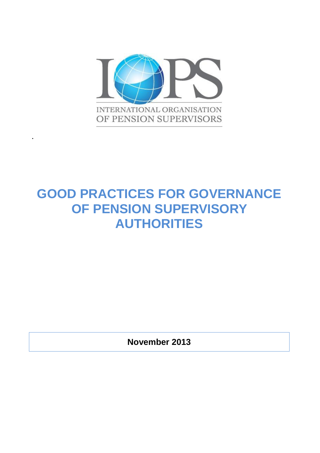

**.**

# **GOOD PRACTICES FOR GOVERNANCE OF PENSION SUPERVISORY AUTHORITIES**

**November 2013**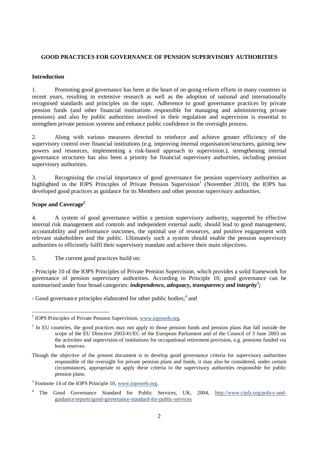## **GOOD PRACTICES FOR GOVERNANCE OF PENSION SUPERVISORY AUTHORITIES**

#### **Introduction**

1. Promoting good governance has been at the heart of on-going reform efforts in many countries in recent years, resulting in extensive research as well as the adoption of national and internationally recognised standards and principles on the topic. Adherence to good governance practices by private pension funds (and other financial institutions responsible for managing and administering private pensions) and also by public authorities involved in their regulation and supervision is essential to strengthen private pension systems and enhance public confidence in the oversight process.

2. Along with various measures directed to reinforce and achieve greater efficiency of the supervisory control over financial institutions (e.g. improving internal organisation/structures, gaining new powers and resources, implementing a risk-based approach to supervision.), strengthening internal governance structures has also been a priority for financial supervisory authorities, including pension supervisory authorities.

3. Recognising the crucial importance of good governance for pension supervisory authorities as highlighted in the IOPS Principles of Private Pension Supervision<sup>1</sup> (November 2010), the IOPS has developed good practices as guidance for its Members and other pension supervisory authorities.

### **Scope and Coverage<sup>2</sup>**

4. A system of good governance within a pension supervisory authority, supported by effective internal risk management and controls and independent external audit, should lead to good management, accountability and performance outcomes, the optimal use of resources, and positive engagement with relevant stakeholders and the public. Ultimately such a system should enable the pension supervisory authorities to efficiently fulfil their supervisory mandate and achieve their main objectives.

5. The current good practices build on:

- Principle 10 of the IOPS Principles of Private Pension Supervision, which provides a solid framework for governance of pension supervisory authorities. According to Principle 10, good governance can be summarised under four broad categories: *independence, adequacy, transparency and integrity<sup>3</sup>;* 

- Good governance principles elaborated for other public bodies;<sup>4</sup> and

<sup>&</sup>lt;sup>1</sup> IOPS Principles of Private Pension Supervision, [www.iopsweb.org.](http://www.iopsweb.org/)

 $2 \text{ In EU countries, the good practices may not apply to those pension funds and pension plans that fall outside the$ scope of the EU Directive 2003/41/EC of the European Parliament and of the Council of 3 June 2003 on the activities and supervision of institutions for occupational retirement provision, e.g. pensions funded via book reserves.

Though the objective of the present document is to develop good governance criteria for supervisory authorities responsible of the oversight for private pension plans and funds, it may also be considered, under certain circumstances, appropriate to apply these criteria to the supervisory authorities responsible for public pension plans.

 $3$  Footnote 14 of the IOPS Principle 10, www.iopsweb.org.

The Good Governance Standard for Public Services, UK, 2004, [http://www.cipfa.org/policy-and](http://www.cipfa.org/policy-and-guidance/reports/good-governance-standard-for-public-services)[guidance/reports/good-governance-standard-for-public-services](http://www.cipfa.org/policy-and-guidance/reports/good-governance-standard-for-public-services)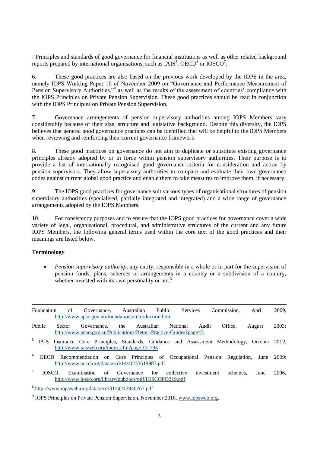- Principles and standards of good governance for financial institutions as well as other related background reports prepared by international organisations, such as  $IAIS<sup>5</sup>$ ,  $OECD<sup>6</sup>$  or  $IOSCO<sup>7</sup>$ .

6. These good practices are also based on the previous work developed by the IOPS in the area, namely IOPS Working Paper 10 of November 2009 on "Governance and Performance Measurement of Pension Supervisory Authorities,"<sup>8</sup> as well as the results of the assessment of countries' compliance with the IOPS Principles on Private Pension Supervision. These good practices should be read in conjunction with the IOPS Principles on Private Pension Supervision.

7. Governance arrangements of pension supervisory authorities among IOPS Members vary considerably because of their size, structure and legislative background. Despite this diversity, the IOPS believes that general good governance practices can be identified that will be helpful to the IOPS Members when reviewing and reinforcing their current governance framework.

8. These good practices on governance do not aim to duplicate or substitute existing governance principles already adopted by or in force within pension supervisory authorities. Their purpose is to provide a list of internationally recognised good governance criteria for consideration and action by pension supervisors. They allow supervisory authorities to compare and evaluate their own governance codes against current global good practice and enable them to take measures to improve them, if necessary.

9. The IOPS good practices for governance suit various types of organisational structures of pension supervisory authorities (specialised, partially integrated and integrated) and a wide range of governance arrangements adopted by the IOPS Members.

10. For consistency purposes and to ensure that the IOPS good practices for governance cover a wide variety of legal, organisational, procedural, and administrative structures of the current and any future IOPS Members, the following general terms used within the core text of the good practices and their meanings are listed below.

### **Terminology**

 *Pension supervisory authority*: any entity, responsible in a whole or in part for the supervision of pension funds, plans, schemes or arrangements in a country or a subdivision of a country, whether invested with its own personality or not.<sup>9</sup>

| Foundation                                                                                                                                              | of     | Governance,<br>http://www.apsc.gov.au/foundations/introduction.htm                                                                      |     | Australian | Public     |            | <b>Services</b> | Commission. |          | April  | 2009, |
|---------------------------------------------------------------------------------------------------------------------------------------------------------|--------|-----------------------------------------------------------------------------------------------------------------------------------------|-----|------------|------------|------------|-----------------|-------------|----------|--------|-------|
| <b>Public</b>                                                                                                                                           | Sector | Governance.<br>http://www.anao.gov.au/Publications/Better-Practice-Guides?page=3                                                        | the |            | Australian | National   | Audit           | Office.     |          | August | 2003: |
| 5 <sub>1</sub><br>IAIS                                                                                                                                  |        | Insurance Core Principles, Standards, Guidance and Assessment Methodology, October 2012,<br>http://www.iaisweb.org/index.cfm?pageID=795 |     |            |            |            |                 |             |          |        |       |
| 6<br>Recommendation on Core Principles of Occupational Pension Regulation, June 2009:<br><b>OECD</b><br>http://www.oecd.org/dataoecd/14/46/33619987.pdf |        |                                                                                                                                         |     |            |            |            |                 |             |          |        |       |
| IOSCO.                                                                                                                                                  |        | Examination                                                                                                                             | of  | Governance | for        | collective | investment      |             | schemes. | June   | 2006. |

8 <http://www.iopsweb.org/dataoecd/31/56/43946767.pdf>

<http://www.iosco.org/library/pubdocs/pdf/IOSCOPD219.pdf>

<sup>&</sup>lt;sup>9</sup> IOPS Principles on Private Pension Supervision, November 2010, [www.iopsweb.org.](http://www.iopsweb.org/)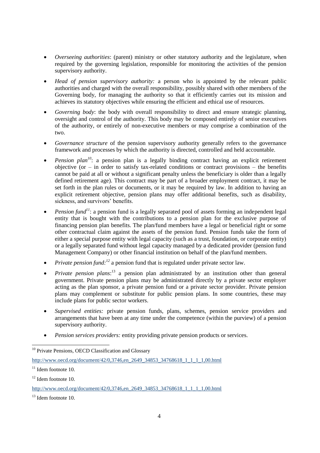- *Overseeing authorities*: (parent) ministry or other statutory authority and the legislature, when required by the governing legislation, responsible for monitoring the activities of the pension supervisory authority.
- *Head of pension supervisory authority:* a person who is appointed by the relevant public authorities and charged with the overall responsibility, possibly shared with other members of the Governing body, for managing the authority so that it efficiently carries out its mission and achieves its statutory objectives while ensuring the efficient and ethical use of resources.
- *Governing body*: the body with overall responsibility to direct and ensure strategic planning, oversight and control of the authority. This body may be composed entirely of senior executives of the authority, or entirely of non-executive members or may comprise a combination of the two.
- *Governance structure* of the pension supervisory authority generally refers to the governance framework and processes by which the authority is directed, controlled and held accountable.
- *Pension plan<sup>10</sup>*: a pension plan is a legally binding contract having an explicit retirement objective (or  $-$  in order to satisfy tax-related conditions or contract provisions  $-$  the benefits cannot be paid at all or without a significant penalty unless the beneficiary is older than a legally defined retirement age). This contract may be part of a broader employment contract, it may be set forth in the plan rules or documents, or it may be required by law. In addition to having an explicit retirement objective, pension plans may offer additional benefits, such as disability, sickness, and survivors' benefits.
- **Pension fund<sup>11</sup>**: a pension fund is a legally separated pool of assets forming an independent legal entity that is bought with the contributions to a pension plan for the exclusive purpose of financing pension plan benefits. The plan/fund members have a legal or beneficial right or some other contractual claim against the assets of the pension fund. Pension funds take the form of either a special purpose entity with legal capacity (such as a trust, foundation, or corporate entity) or a legally separated fund without legal capacity managed by a dedicated provider (pension fund Management Company) or other financial institution on behalf of the plan/fund members.
- *Private pension fund:<sup>12</sup>* a pension fund that is regulated under private sector law.
- *Private pension plans*:<sup>13</sup> a pension plan administrated by an institution other than general government. Private pension plans may be administrated directly by a private sector employer acting as the plan sponsor, a private pension fund or a private sector provider. Private pension plans may complement or substitute for public pension plans. In some countries, these may include plans for public sector workers.
- *Supervised entities:* private pension funds, plans, schemes, pension service providers and arrangements that have been at any time under the competence (within the purview) of a pension supervisory authority.
- *Pension services providers:* entity providing private pension products or services.

<sup>10</sup> Private Pensions, OECD Classification and Glossary

[http://www.oecd.org/document/42/0,3746,en\\_2649\\_34853\\_34768618\\_1\\_1\\_1\\_1,00.html](http://www.oecd.org/document/42/0,3746,en_2649_34853_34768618_1_1_1_1,00.html)

 $13$  Idem footnote 10.

 $11$  Idem footnote 10.

<sup>&</sup>lt;sup>12</sup> Idem footnote 10.

[http://www.oecd.org/document/42/0,3746,en\\_2649\\_34853\\_34768618\\_1\\_1\\_1\\_1,00.html](http://www.oecd.org/document/42/0,3746,en_2649_34853_34768618_1_1_1_1,00.html)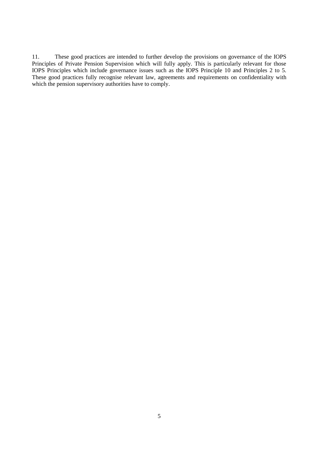11. These good practices are intended to further develop the provisions on governance of the IOPS Principles of Private Pension Supervision which will fully apply. This is particularly relevant for those IOPS Principles which include governance issues such as the IOPS Principle 10 and Principles 2 to 5. These good practices fully recognise relevant law, agreements and requirements on confidentiality with which the pension supervisory authorities have to comply.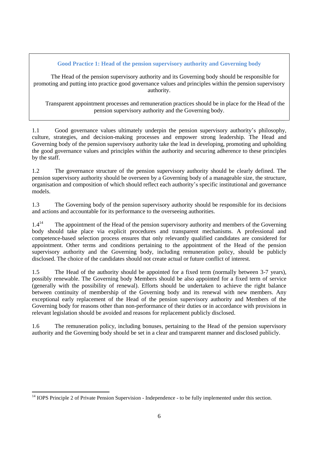**Good Practice 1: Head of the pension supervisory authority and Governing body**

The Head of the pension supervisory authority and its Governing body should be responsible for promoting and putting into practice good governance values and principles within the pension supervisory authority.

Transparent appointment processes and remuneration practices should be in place for the Head of the pension supervisory authority and the Governing body.

1.1 Good governance values ultimately underpin the pension supervisory authority's philosophy, culture, strategies, and decision-making processes and empower strong leadership. The Head and Governing body of the pension supervisory authority take the lead in developing, promoting and upholding the good governance values and principles within the authority and securing adherence to these principles by the staff.

1.2 The governance structure of the pension supervisory authority should be clearly defined. The pension supervisory authority should be overseen by a Governing body of a manageable size, the structure, organisation and composition of which should reflect each authority's specific institutional and governance models.

1.3 The Governing body of the pension supervisory authority should be responsible for its decisions and actions and accountable for its performance to the overseeing authorities.

 $1.4<sup>14</sup>$  The appointment of the Head of the pension supervisory authority and members of the Governing body should take place via explicit procedures and transparent mechanisms. A professional and competence-based selection process ensures that only relevantly qualified candidates are considered for appointment. Other terms and conditions pertaining to the appointment of the Head of the pension supervisory authority and the Governing body, including remuneration policy, should be publicly disclosed. The choice of the candidates should not create actual or future conflict of interest.

1.5 The Head of the authority should be appointed for a fixed term (normally between 3-7 years), possibly renewable. The Governing body Members should be also appointed for a fixed term of service (generally with the possibility of renewal). Efforts should be undertaken to achieve the right balance between continuity of membership of the Governing body and its renewal with new members. Any exceptional early replacement of the Head of the pension supervisory authority and Members of the Governing body for reasons other than non-performance of their duties or in accordance with provisions in relevant legislation should be avoided and reasons for replacement publicly disclosed.

1.6 The remuneration policy, including bonuses, pertaining to the Head of the pension supervisory authority and the Governing body should be set in a clear and transparent manner and disclosed publicly.

 $\overline{a}$ 

<sup>&</sup>lt;sup>14</sup> IOPS Principle 2 of Private Pension Supervision - Independence - to be fully implemented under this section.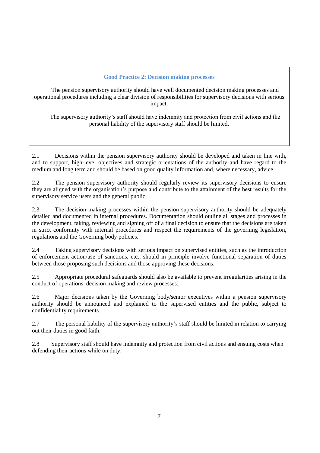## **Good Practice 2: Decision making processes**

The pension supervisory authority should have well documented decision making processes and operational procedures including a clear division of responsibilities for supervisory decisions with serious impact.

The supervisory authority's staff should have indemnity and protection from civil actions and the personal liability of the supervisory staff should be limited.

2.1 Decisions within the pension supervisory authority should be developed and taken in line with, and to support, high-level objectives and strategic orientations of the authority and have regard to the medium and long term and should be based on good quality information and, where necessary, advice.

2.2 The pension supervisory authority should regularly review its supervisory decisions to ensure they are aligned with the organisation's purpose and contribute to the attainment of the best results for the supervisory service users and the general public.

2.3 The decision making processes within the pension supervisory authority should be adequately detailed and documented in internal procedures. Documentation should outline all stages and processes in the development, taking, reviewing and signing off of a final decision to ensure that the decisions are taken in strict conformity with internal procedures and respect the requirements of the governing legislation, regulations and the Governing body policies.

2.4 Taking supervisory decisions with serious impact on supervised entities, such as the introduction of enforcement action/use of sanctions, etc., should in principle involve functional separation of duties between those proposing such decisions and those approving these decisions.

2.5 Appropriate procedural safeguards should also be available to prevent irregularities arising in the conduct of operations, decision making and review processes.

2.6 Major decisions taken by the Governing body/senior executives within a pension supervisory authority should be announced and explained to the supervised entities and the public, subject to confidentiality requirements.

2.7 The personal liability of the supervisory authority's staff should be limited in relation to carrying out their duties in good faith.

2.8 Supervisory staff should have indemnity and protection from civil actions and ensuing costs when defending their actions while on duty.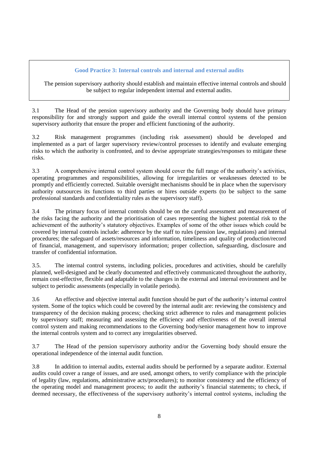# **Good Practice 3: Internal controls and internal and external audits**

The pension supervisory authority should establish and maintain effective internal controls and should be subject to regular independent internal and external audits.

3.1 The Head of the pension supervisory authority and the Governing body should have primary responsibility for and strongly support and guide the overall internal control systems of the pension supervisory authority that ensure the proper and efficient functioning of the authority.

3.2 Risk management programmes (including risk assessment) should be developed and implemented as a part of larger supervisory review/control processes to identify and evaluate emerging risks to which the authority is confronted, and to devise appropriate strategies/responses to mitigate these risks.

3.3 A comprehensive internal control system should cover the full range of the authority's activities, operating programmes and responsibilities, allowing for irregularities or weaknesses detected to be promptly and efficiently corrected. Suitable oversight mechanisms should be in place when the supervisory authority outsources its functions to third parties or hires outside experts (to be subject to the same professional standards and confidentiality rules as the supervisory staff).

3.4 The primary focus of internal controls should be on the careful assessment and measurement of the risks facing the authority and the prioritisation of cases representing the highest potential risk to the achievement of the authority's statutory objectives. Examples of some of the other issues which could be covered by internal controls include: adherence by the staff to rules (pension law, regulations) and internal procedures; the safeguard of assets/resources and information, timeliness and quality of production/record of financial, management, and supervisory information; proper collection, safeguarding, disclosure and transfer of confidential information.

3.5. The internal control systems, including policies, procedures and activities, should be carefully planned, well-designed and be clearly documented and effectively communicated throughout the authority, remain cost-effective, flexible and adaptable to the changes in the external and internal environment and be subject to periodic assessments (especially in volatile periods).

3.6 An effective and objective internal audit function should be part of the authority's internal control system. Some of the topics which could be covered by the internal audit are: reviewing the consistency and transparency of the decision making process; checking strict adherence to rules and management policies by supervisory staff; measuring and assessing the efficiency and effectiveness of the overall internal control system and making recommendations to the Governing body/senior management how to improve the internal controls system and to correct any irregularities observed.

3.7 The Head of the pension supervisory authority and/or the Governing body should ensure the operational independence of the internal audit function.

3.8 In addition to internal audits, external audits should be performed by a separate auditor. External audits could cover a range of issues, and are used, amongst others, to verify compliance with the principle of legality (law, regulations, administrative acts/procedures); to monitor consistency and the efficiency of the operating model and management process; to audit the authority's financial statements; to check, if deemed necessary, the effectiveness of the supervisory authority's internal control systems, including the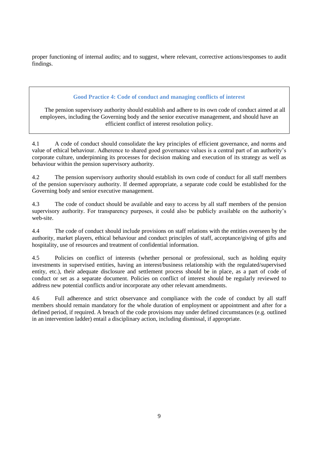proper functioning of internal audits; and to suggest, where relevant, corrective actions/responses to audit findings.

# **Good Practice 4: Code of conduct and managing conflicts of interest**

The pension supervisory authority should establish and adhere to its own code of conduct aimed at all employees, including the Governing body and the senior executive management, and should have an efficient conflict of interest resolution policy.

4.1 A code of conduct should consolidate the key principles of efficient governance, and norms and value of ethical behaviour. Adherence to shared good governance values is a central part of an authority's corporate culture, underpinning its processes for decision making and execution of its strategy as well as behaviour within the pension supervisory authority.

4.2 The pension supervisory authority should establish its own code of conduct for all staff members of the pension supervisory authority. If deemed appropriate, a separate code could be established for the Governing body and senior executive management.

4.3 The code of conduct should be available and easy to access by all staff members of the pension supervisory authority. For transparency purposes, it could also be publicly available on the authority's web-site.

4.4 The code of conduct should include provisions on staff relations with the entities overseen by the authority, market players, ethical behaviour and conduct principles of staff, acceptance/giving of gifts and hospitality, use of resources and treatment of confidential information.

4.5 Policies on conflict of interests (whether personal or professional, such as holding equity investments in supervised entities, having an interest/business relationship with the regulated/supervised entity, etc.), their adequate disclosure and settlement process should be in place, as a part of code of conduct or set as a separate document. Policies on conflict of interest should be regularly reviewed to address new potential conflicts and/or incorporate any other relevant amendments.

4.6 Full adherence and strict observance and compliance with the code of conduct by all staff members should remain mandatory for the whole duration of employment or appointment and after for a defined period, if required. A breach of the code provisions may under defined circumstances (e.g. outlined in an intervention ladder) entail a disciplinary action, including dismissal, if appropriate.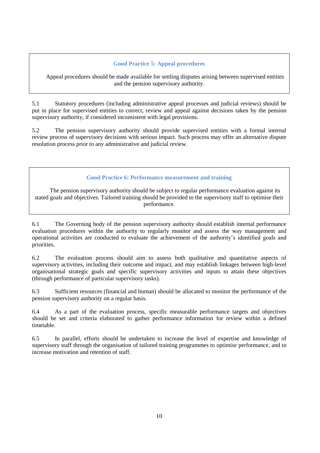## **Good Practice 5: Appeal procedures**

Appeal procedures should be made available for settling disputes arising between supervised entities and the pension supervisory authority.

5.1 Statutory procedures (including administrative appeal processes and judicial reviews) should be put in place for supervised entities to correct, review and appeal against decisions taken by the pension supervisory authority, if considered inconsistent with legal provisions.

5.2 The pension supervisory authority should provide supervised entities with a formal internal review process of supervisory decisions with serious impact. Such process may offer an alternative dispute resolution process prior to any administrative and judicial review.

## **Good Practice 6: Performance measurement and training**

The pension supervisory authority should be subject to regular performance evaluation against its stated goals and objectives. Tailored training should be provided to the supervisory staff to optimise their performance.

6.1 The Governing body of the pension supervisory authority should establish internal performance evaluation procedures within the authority to regularly monitor and assess the way management and operational activities are conducted to evaluate the achievement of the authority's identified goals and priorities.

6.2 The evaluation process should aim to assess both qualitative and quantitative aspects of supervisory activities, including their outcome and impact, and may establish linkages between high-level organisational strategic goals and specific supervisory activities and inputs to attain these objectives (through performance of particular supervisory tasks).

6.3 Sufficient resources (financial and human) should be allocated to monitor the performance of the pension supervisory authority on a regular basis.

6.4 As a part of the evaluation process, specific measurable performance targets and objectives should be set and criteria elaborated to gather performance information for review within a defined timetable.

6.5 In parallel, efforts should be undertaken to increase the level of expertise and knowledge of supervisory staff through the organisation of tailored training programmes to optimise performance, and to increase motivation and retention of staff.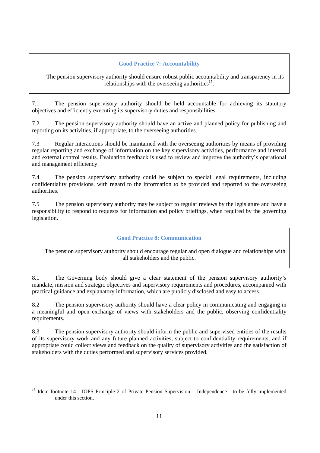# **Good Practice 7: Accountability**

The pension supervisory authority should ensure robust public accountability and transparency in its relationships with the overseeing authorities $15$ .

7.1 The pension supervisory authority should be held accountable for achieving its statutory objectives and efficiently executing its supervisory duties and responsibilities.

7.2 The pension supervisory authority should have an active and planned policy for publishing and reporting on its activities, if appropriate, to the overseeing authorities.

7.3 Regular interactions should be maintained with the overseeing authorities by means of providing regular reporting and exchange of information on the key supervisory activities, performance and internal and external control results. Evaluation feedback is used to review and improve the authority's operational and management efficiency.

7.4 The pension supervisory authority could be subject to special legal requirements, including confidentiality provisions, with regard to the information to be provided and reported to the overseeing authorities.

7.5 The pension supervisory authority may be subject to regular reviews by the legislature and have a responsibility to respond to requests for information and policy briefings, when required by the governing legislation.

# **Good Practice 8: Communication**

The pension supervisory authority should encourage regular and open dialogue and relationships with all stakeholders and the public.

8.1 The Governing body should give a clear statement of the pension supervisory authority's mandate, mission and strategic objectives and supervisory requirements and procedures, accompanied with practical guidance and explanatory information, which are publicly disclosed and easy to access.

8.2 The pension supervisory authority should have a clear policy in communicating and engaging in a meaningful and open exchange of views with stakeholders and the public, observing confidentiality requirements.

8.3 The pension supervisory authority should inform the public and supervised entities of the results of its supervisory work and any future planned activities, subject to confidentiality requirements, and if appropriate could collect views and feedback on the quality of supervisory activities and the satisfaction of stakeholders with the duties performed and supervisory services provided.

<sup>15</sup> <sup>15</sup> Idem footnote 14 - IOPS Principle 2 of Private Pension Supervision – Independence - to be fully implemented under this section.